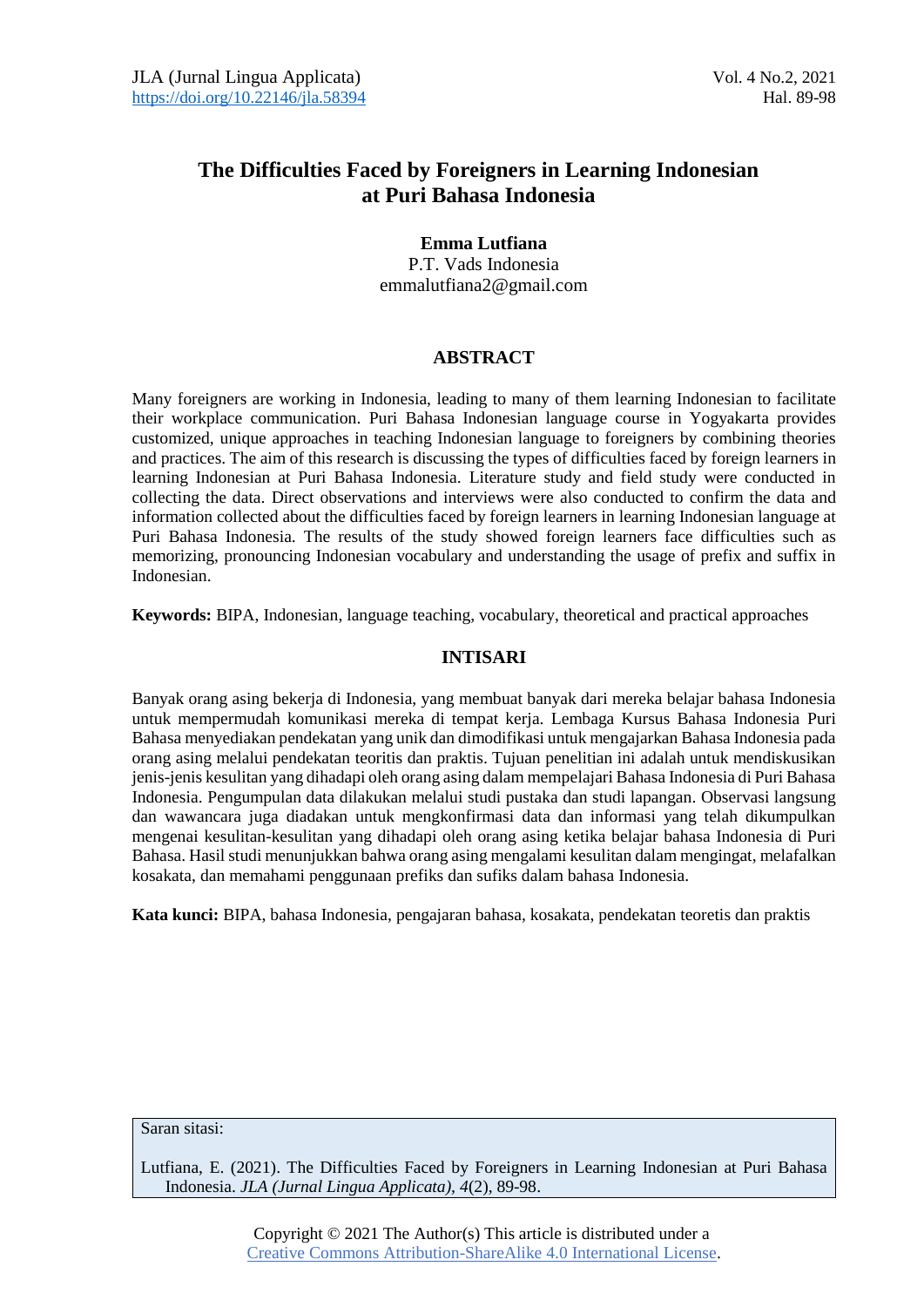## **The Difficulties Faced by Foreigners in Learning Indonesian at Puri Bahasa Indonesia**

## **Emma Lutfiana**

P.T. Vads Indonesia emmalutfiana2@gmail.com

## **ABSTRACT**

Many foreigners are working in Indonesia, leading to many of them learning Indonesian to facilitate their workplace communication. Puri Bahasa Indonesian language course in Yogyakarta provides customized, unique approaches in teaching Indonesian language to foreigners by combining theories and practices. The aim of this research is discussing the types of difficulties faced by foreign learners in learning Indonesian at Puri Bahasa Indonesia. Literature study and field study were conducted in collecting the data. Direct observations and interviews were also conducted to confirm the data and information collected about the difficulties faced by foreign learners in learning Indonesian language at Puri Bahasa Indonesia. The results of the study showed foreign learners face difficulties such as memorizing, pronouncing Indonesian vocabulary and understanding the usage of prefix and suffix in Indonesian.

**Keywords:** BIPA, Indonesian, language teaching, vocabulary, theoretical and practical approaches

## **INTISARI**

Banyak orang asing bekerja di Indonesia, yang membuat banyak dari mereka belajar bahasa Indonesia untuk mempermudah komunikasi mereka di tempat kerja. Lembaga Kursus Bahasa Indonesia Puri Bahasa menyediakan pendekatan yang unik dan dimodifikasi untuk mengajarkan Bahasa Indonesia pada orang asing melalui pendekatan teoritis dan praktis. Tujuan penelitian ini adalah untuk mendiskusikan jenis-jenis kesulitan yang dihadapi oleh orang asing dalam mempelajari Bahasa Indonesia di Puri Bahasa Indonesia. Pengumpulan data dilakukan melalui studi pustaka dan studi lapangan. Observasi langsung dan wawancara juga diadakan untuk mengkonfirmasi data dan informasi yang telah dikumpulkan mengenai kesulitan-kesulitan yang dihadapi oleh orang asing ketika belajar bahasa Indonesia di Puri Bahasa. Hasil studi menunjukkan bahwa orang asing mengalami kesulitan dalam mengingat, melafalkan kosakata, dan memahami penggunaan prefiks dan sufiks dalam bahasa Indonesia.

**Kata kunci:** BIPA, bahasa Indonesia, pengajaran bahasa, kosakata, pendekatan teoretis dan praktis

#### Saran sitasi:

Lutfiana, E. (2021). The Difficulties Faced by Foreigners in Learning Indonesian at Puri Bahasa Indonesia. *JLA (Jurnal Lingua Applicata), 4*(2), 89-98.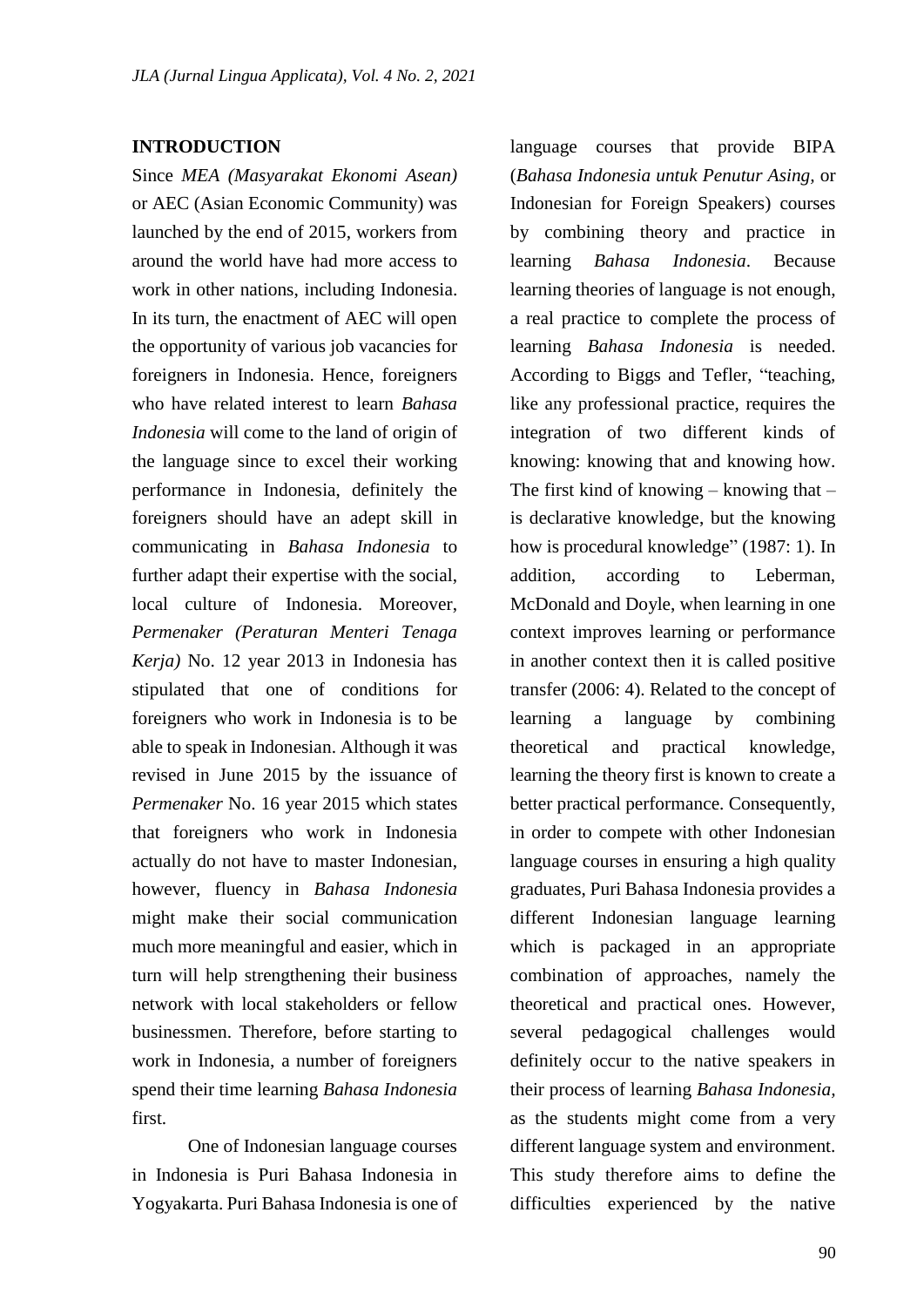### **INTRODUCTION**

Since *MEA (Masyarakat Ekonomi Asean)*  or AEC (Asian Economic Community) was launched by the end of 2015, workers from around the world have had more access to work in other nations, including Indonesia. In its turn, the enactment of AEC will open the opportunity of various job vacancies for foreigners in Indonesia. Hence, foreigners who have related interest to learn *Bahasa Indonesia* will come to the land of origin of the language since to excel their working performance in Indonesia, definitely the foreigners should have an adept skill in communicating in *Bahasa Indonesia* to further adapt their expertise with the social, local culture of Indonesia. Moreover, *Permenaker (Peraturan Menteri Tenaga Kerja)* No. 12 year 2013 in Indonesia has stipulated that one of conditions for foreigners who work in Indonesia is to be able to speak in Indonesian. Although it was revised in June 2015 by the issuance of *Permenaker* No. 16 year 2015 which states that foreigners who work in Indonesia actually do not have to master Indonesian, however, fluency in *Bahasa Indonesia* might make their social communication much more meaningful and easier, which in turn will help strengthening their business network with local stakeholders or fellow businessmen. Therefore, before starting to work in Indonesia, a number of foreigners spend their time learning *Bahasa Indonesia* first.

One of Indonesian language courses in Indonesia is Puri Bahasa Indonesia in Yogyakarta. Puri Bahasa Indonesia is one of language courses that provide BIPA (*Bahasa Indonesia untuk Penutur Asing,* or Indonesian for Foreign Speakers) courses by combining theory and practice in learning *Bahasa Indonesia*. Because learning theories of language is not enough, a real practice to complete the process of learning *Bahasa Indonesia* is needed. According to Biggs and Tefler, "teaching, like any professional practice, requires the integration of two different kinds of knowing: knowing that and knowing how. The first kind of knowing – knowing that  $$ is declarative knowledge, but the knowing how is procedural knowledge" (1987: 1). In addition, according to Leberman, McDonald and Doyle, when learning in one context improves learning or performance in another context then it is called positive transfer (2006: 4). Related to the concept of learning a language by combining theoretical and practical knowledge, learning the theory first is known to create a better practical performance. Consequently, in order to compete with other Indonesian language courses in ensuring a high quality graduates, Puri Bahasa Indonesia provides a different Indonesian language learning which is packaged in an appropriate combination of approaches, namely the theoretical and practical ones. However, several pedagogical challenges would definitely occur to the native speakers in their process of learning *Bahasa Indonesia,*  as the students might come from a very different language system and environment. This study therefore aims to define the difficulties experienced by the native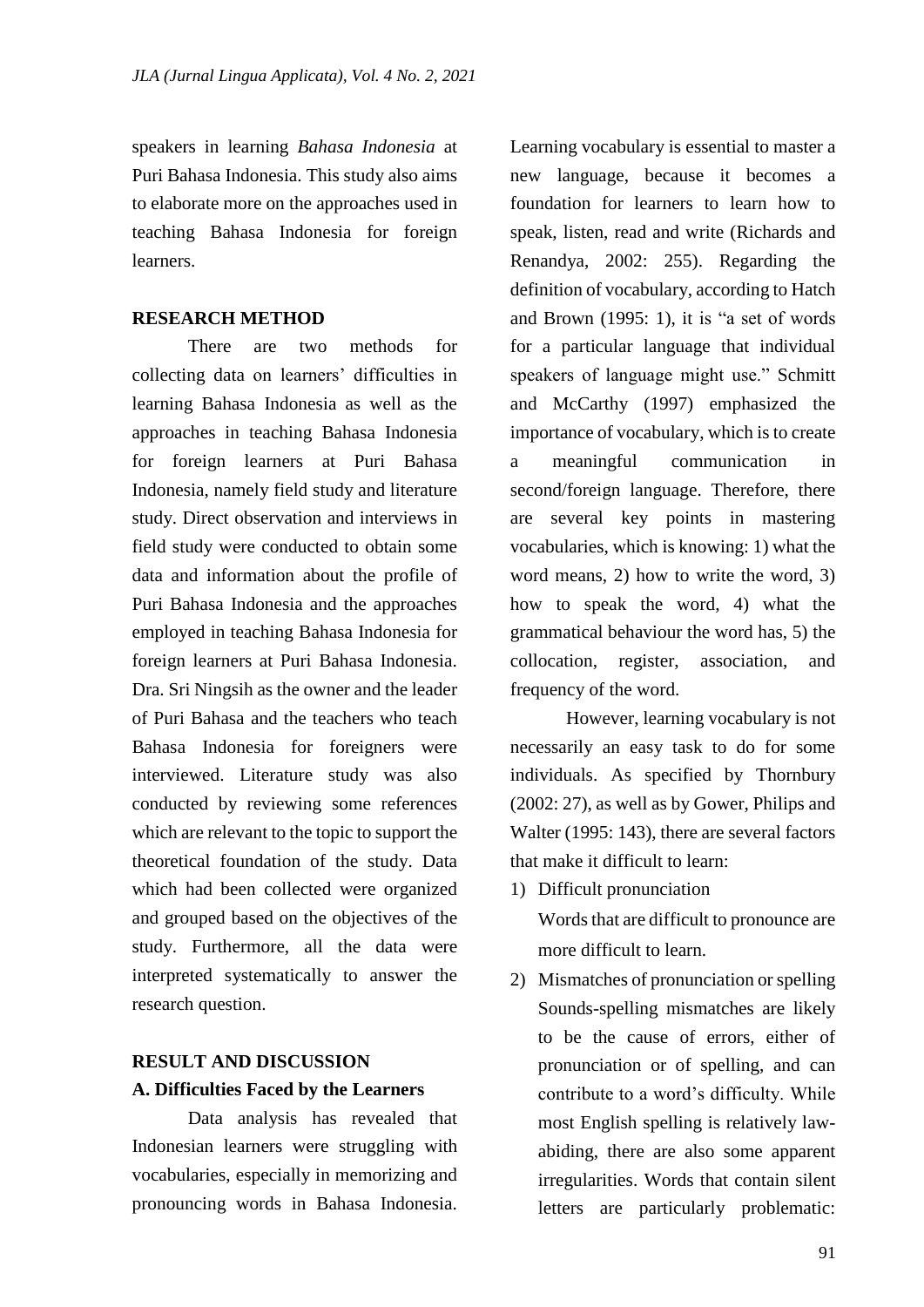speakers in learning *Bahasa Indonesia* at Puri Bahasa Indonesia. This study also aims to elaborate more on the approaches used in teaching Bahasa Indonesia for foreign learners.

### **RESEARCH METHOD**

There are two methods for collecting data on learners' difficulties in learning Bahasa Indonesia as well as the approaches in teaching Bahasa Indonesia for foreign learners at Puri Bahasa Indonesia, namely field study and literature study. Direct observation and interviews in field study were conducted to obtain some data and information about the profile of Puri Bahasa Indonesia and the approaches employed in teaching Bahasa Indonesia for foreign learners at Puri Bahasa Indonesia. Dra. Sri Ningsih as the owner and the leader of Puri Bahasa and the teachers who teach Bahasa Indonesia for foreigners were interviewed. Literature study was also conducted by reviewing some references which are relevant to the topic to support the theoretical foundation of the study. Data which had been collected were organized and grouped based on the objectives of the study. Furthermore, all the data were interpreted systematically to answer the research question.

# **RESULT AND DISCUSSION A. Difficulties Faced by the Learners**

Data analysis has revealed that Indonesian learners were struggling with vocabularies, especially in memorizing and pronouncing words in Bahasa Indonesia.

Learning vocabulary is essential to master a new language, because it becomes a foundation for learners to learn how to speak, listen, read and write (Richards and Renandya, 2002: 255). Regarding the definition of vocabulary, according to Hatch and Brown (1995: 1), it is "a set of words for a particular language that individual speakers of language might use." Schmitt and McCarthy (1997) emphasized the importance of vocabulary, which is to create a meaningful communication in second/foreign language. Therefore, there are several key points in mastering vocabularies, which is knowing: 1) what the word means, 2) how to write the word, 3) how to speak the word, 4) what the grammatical behaviour the word has, 5) the collocation, register, association, and frequency of the word.

However, learning vocabulary is not necessarily an easy task to do for some individuals. As specified by Thornbury (2002: 27), as well as by Gower, Philips and Walter (1995: 143), there are several factors that make it difficult to learn:

1) Difficult pronunciation

Words that are difficult to pronounce are more difficult to learn.

2) Mismatches of pronunciation or spelling Sounds-spelling mismatches are likely to be the cause of errors, either of pronunciation or of spelling, and can contribute to a word's difficulty. While most English spelling is relatively lawabiding, there are also some apparent irregularities. Words that contain silent letters are particularly problematic: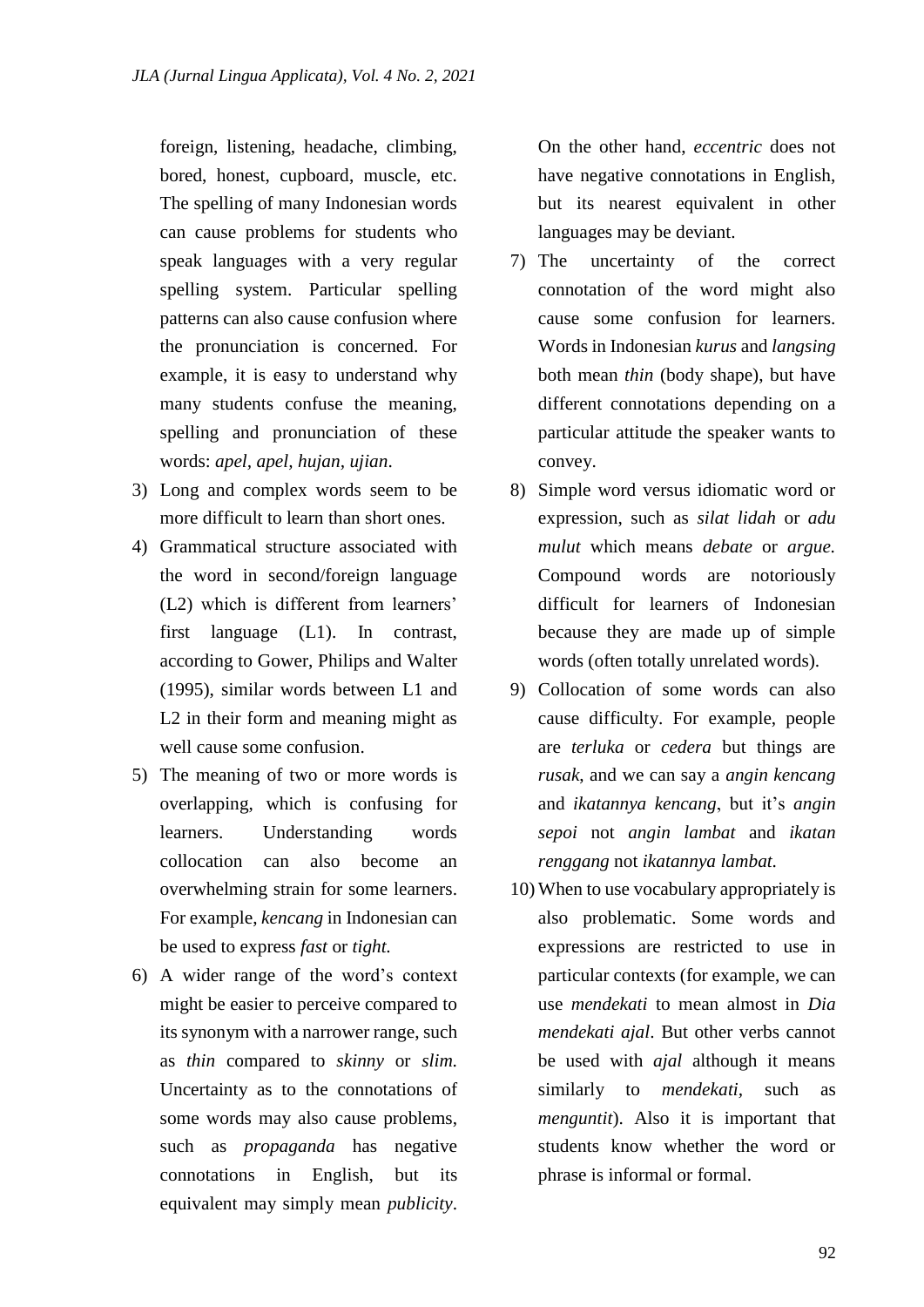foreign, listening, headache, climbing, bored, honest, cupboard, muscle, etc. The spelling of many Indonesian words can cause problems for students who speak languages with a very regular spelling system. Particular spelling patterns can also cause confusion where the pronunciation is concerned. For example, it is easy to understand why many students confuse the meaning, spelling and pronunciation of these words: *apel, apel, hujan, ujian*.

- 3) Long and complex words seem to be more difficult to learn than short ones.
- 4) Grammatical structure associated with the word in second/foreign language (L2) which is different from learners' first language (L1). In contrast, according to Gower, Philips and Walter (1995), similar words between L1 and L<sub>2</sub> in their form and meaning might as well cause some confusion.
- 5) The meaning of two or more words is overlapping, which is confusing for learners. Understanding words collocation can also become an overwhelming strain for some learners. For example, *kencang* in Indonesian can be used to express *fast* or *tight.*
- 6) A wider range of the word's context might be easier to perceive compared to its synonym with a narrower range, such as *thin* compared to *skinny* or *slim.*  Uncertainty as to the connotations of some words may also cause problems, such as *propaganda* has negative connotations in English, but its equivalent may simply mean *publicity*.

On the other hand, *eccentric* does not have negative connotations in English, but its nearest equivalent in other languages may be deviant.

- 7) The uncertainty of the correct connotation of the word might also cause some confusion for learners. Words in Indonesian *kurus* and *langsing* both mean *thin* (body shape), but have different connotations depending on a particular attitude the speaker wants to convey.
- 8) Simple word versus idiomatic word or expression, such as *silat lidah* or *adu mulut* which means *debate* or *argue.* Compound words are notoriously difficult for learners of Indonesian because they are made up of simple words (often totally unrelated words).
- 9) Collocation of some words can also cause difficulty. For example, people are *terluka* or *cedera* but things are *rusak*, and we can say a *angin kencang* and *ikatannya kencang*, but it's *angin sepoi* not *angin lambat* and *ikatan renggang* not *ikatannya lambat.*
- 10) When to use vocabulary appropriately is also problematic. Some words and expressions are restricted to use in particular contexts (for example, we can use *mendekati* to mean almost in *Dia mendekati ajal*. But other verbs cannot be used with *ajal* although it means similarly to *mendekati,* such as *menguntit*). Also it is important that students know whether the word or phrase is informal or formal.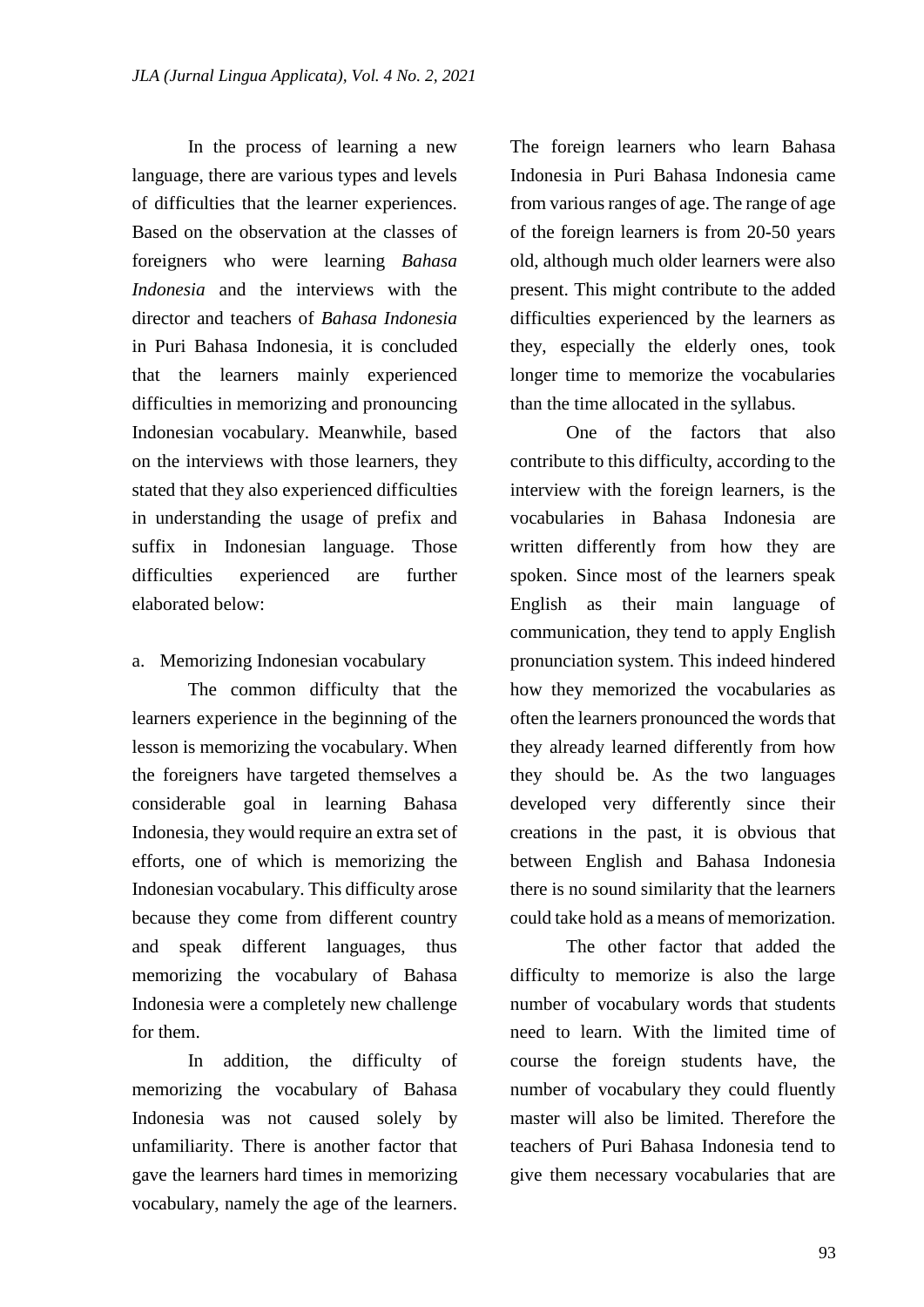In the process of learning a new language, there are various types and levels of difficulties that the learner experiences. Based on the observation at the classes of foreigners who were learning *Bahasa Indonesia* and the interviews with the director and teachers of *Bahasa Indonesia* in Puri Bahasa Indonesia, it is concluded that the learners mainly experienced difficulties in memorizing and pronouncing Indonesian vocabulary. Meanwhile, based on the interviews with those learners, they stated that they also experienced difficulties in understanding the usage of prefix and suffix in Indonesian language. Those difficulties experienced are further elaborated below:

## a. Memorizing Indonesian vocabulary

The common difficulty that the learners experience in the beginning of the lesson is memorizing the vocabulary. When the foreigners have targeted themselves a considerable goal in learning Bahasa Indonesia, they would require an extra set of efforts, one of which is memorizing the Indonesian vocabulary. This difficulty arose because they come from different country and speak different languages, thus memorizing the vocabulary of Bahasa Indonesia were a completely new challenge for them.

In addition, the difficulty of memorizing the vocabulary of Bahasa Indonesia was not caused solely by unfamiliarity. There is another factor that gave the learners hard times in memorizing vocabulary, namely the age of the learners.

The foreign learners who learn Bahasa Indonesia in Puri Bahasa Indonesia came from various ranges of age. The range of age of the foreign learners is from 20-50 years old, although much older learners were also present. This might contribute to the added difficulties experienced by the learners as they, especially the elderly ones, took longer time to memorize the vocabularies than the time allocated in the syllabus.

One of the factors that also contribute to this difficulty, according to the interview with the foreign learners, is the vocabularies in Bahasa Indonesia are written differently from how they are spoken. Since most of the learners speak English as their main language of communication, they tend to apply English pronunciation system. This indeed hindered how they memorized the vocabularies as often the learners pronounced the words that they already learned differently from how they should be. As the two languages developed very differently since their creations in the past, it is obvious that between English and Bahasa Indonesia there is no sound similarity that the learners could take hold as a means of memorization.

The other factor that added the difficulty to memorize is also the large number of vocabulary words that students need to learn. With the limited time of course the foreign students have, the number of vocabulary they could fluently master will also be limited. Therefore the teachers of Puri Bahasa Indonesia tend to give them necessary vocabularies that are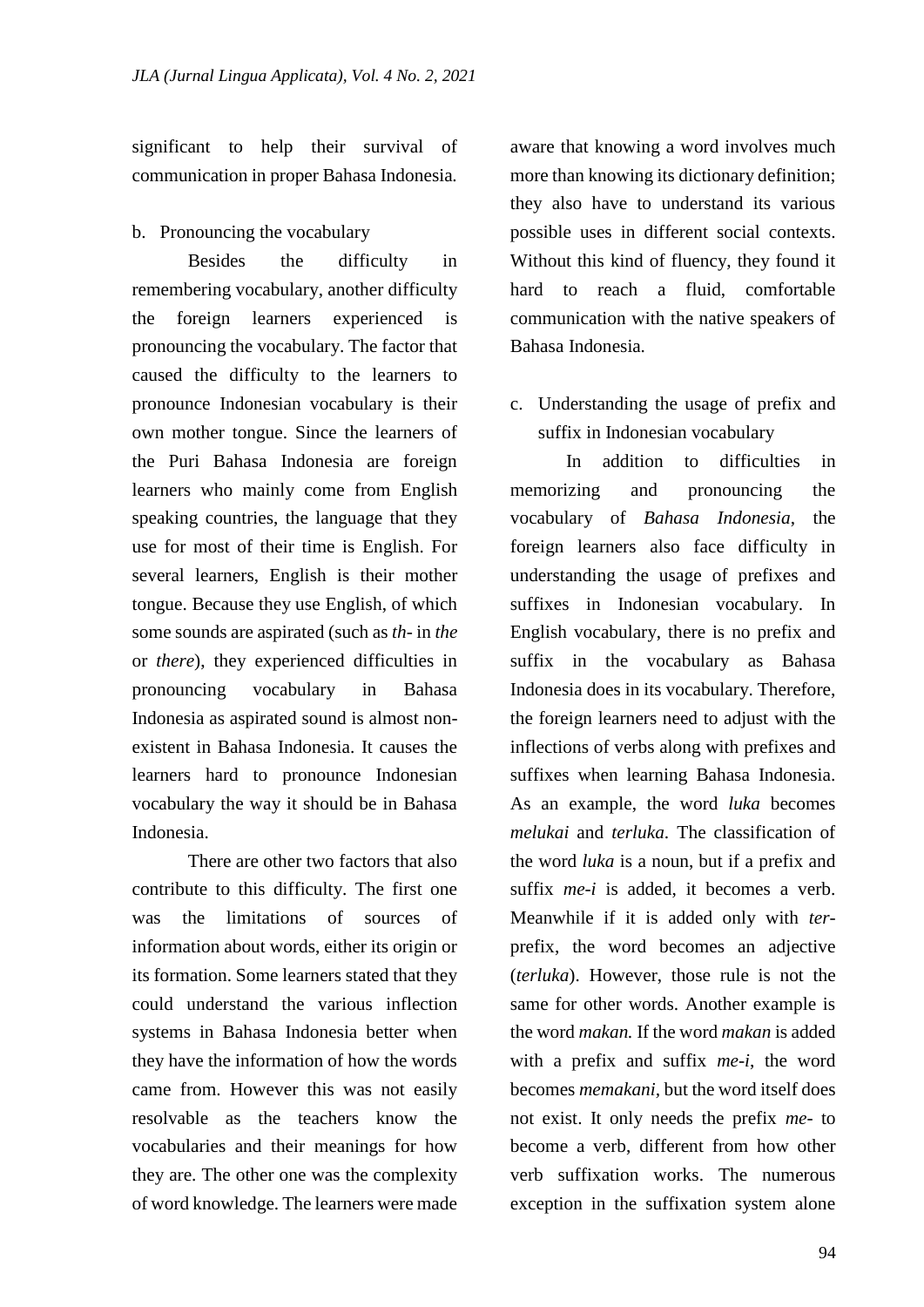significant to help their survival of communication in proper Bahasa Indonesia*.*

## b. Pronouncing the vocabulary

Besides the difficulty in remembering vocabulary, another difficulty the foreign learners experienced is pronouncing the vocabulary. The factor that caused the difficulty to the learners to pronounce Indonesian vocabulary is their own mother tongue. Since the learners of the Puri Bahasa Indonesia are foreign learners who mainly come from English speaking countries, the language that they use for most of their time is English. For several learners, English is their mother tongue. Because they use English, of which some sounds are aspirated (such as *th-* in *the*  or *there*), they experienced difficulties in pronouncing vocabulary in Bahasa Indonesia as aspirated sound is almost nonexistent in Bahasa Indonesia. It causes the learners hard to pronounce Indonesian vocabulary the way it should be in Bahasa Indonesia.

There are other two factors that also contribute to this difficulty. The first one was the limitations of sources of information about words, either its origin or its formation. Some learners stated that they could understand the various inflection systems in Bahasa Indonesia better when they have the information of how the words came from. However this was not easily resolvable as the teachers know the vocabularies and their meanings for how they are. The other one was the complexity of word knowledge. The learners were made

aware that knowing a word involves much more than knowing its dictionary definition; they also have to understand its various possible uses in different social contexts. Without this kind of fluency, they found it hard to reach a fluid, comfortable communication with the native speakers of Bahasa Indonesia*.*

c. Understanding the usage of prefix and suffix in Indonesian vocabulary

In addition to difficulties in memorizing and pronouncing the vocabulary of *Bahasa Indonesia*, the foreign learners also face difficulty in understanding the usage of prefixes and suffixes in Indonesian vocabulary. In English vocabulary, there is no prefix and suffix in the vocabulary as Bahasa Indonesia does in its vocabulary. Therefore, the foreign learners need to adjust with the inflections of verbs along with prefixes and suffixes when learning Bahasa Indonesia. As an example, the word *luka* becomes *melukai* and *terluka*. The classification of the word *luka* is a noun, but if a prefix and suffix *me-i* is added, it becomes a verb. Meanwhile if it is added only with *ter*prefix, the word becomes an adjective (*terluka*). However, those rule is not the same for other words. Another example is the word *makan.* If the word *makan* is added with a prefix and suffix *me-i*, the word becomes *memakani,* but the word itself does not exist. It only needs the prefix *me-* to become a verb, different from how other verb suffixation works. The numerous exception in the suffixation system alone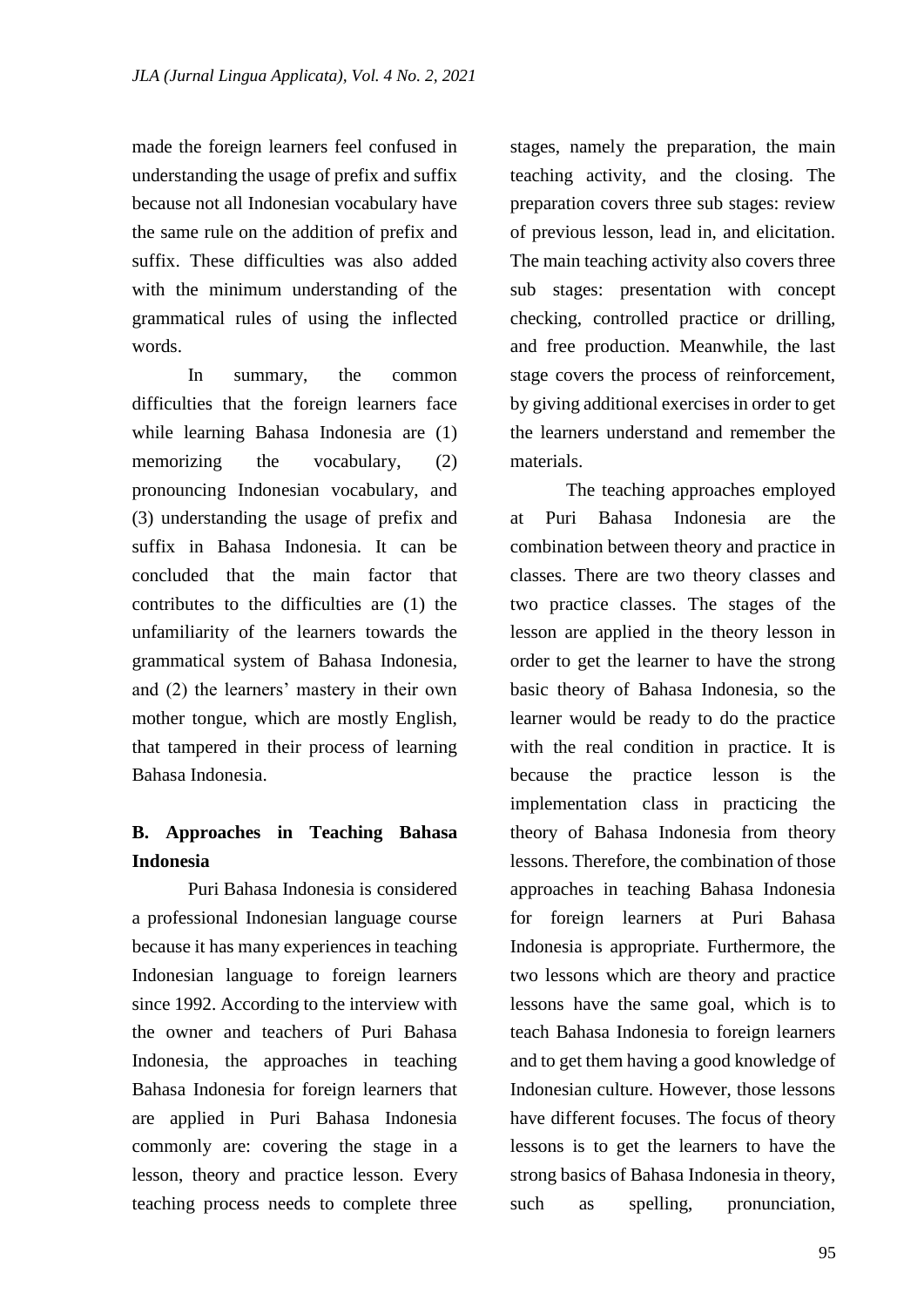made the foreign learners feel confused in understanding the usage of prefix and suffix because not all Indonesian vocabulary have the same rule on the addition of prefix and suffix. These difficulties was also added with the minimum understanding of the grammatical rules of using the inflected words.

In summary, the common difficulties that the foreign learners face while learning Bahasa Indonesia are (1) memorizing the vocabulary, (2) pronouncing Indonesian vocabulary, and (3) understanding the usage of prefix and suffix in Bahasa Indonesia. It can be concluded that the main factor that contributes to the difficulties are (1) the unfamiliarity of the learners towards the grammatical system of Bahasa Indonesia*,*  and (2) the learners' mastery in their own mother tongue, which are mostly English, that tampered in their process of learning Bahasa Indonesia.

# **B. Approaches in Teaching Bahasa Indonesia**

Puri Bahasa Indonesia is considered a professional Indonesian language course because it has many experiences in teaching Indonesian language to foreign learners since 1992. According to the interview with the owner and teachers of Puri Bahasa Indonesia, the approaches in teaching Bahasa Indonesia for foreign learners that are applied in Puri Bahasa Indonesia commonly are: covering the stage in a lesson, theory and practice lesson. Every teaching process needs to complete three

stages, namely the preparation, the main teaching activity, and the closing. The preparation covers three sub stages: review of previous lesson, lead in, and elicitation. The main teaching activity also covers three sub stages: presentation with concept checking, controlled practice or drilling, and free production. Meanwhile, the last stage covers the process of reinforcement, by giving additional exercises in order to get the learners understand and remember the materials.

The teaching approaches employed at Puri Bahasa Indonesia are the combination between theory and practice in classes. There are two theory classes and two practice classes. The stages of the lesson are applied in the theory lesson in order to get the learner to have the strong basic theory of Bahasa Indonesia, so the learner would be ready to do the practice with the real condition in practice. It is because the practice lesson is the implementation class in practicing the theory of Bahasa Indonesia from theory lessons. Therefore, the combination of those approaches in teaching Bahasa Indonesia for foreign learners at Puri Bahasa Indonesia is appropriate. Furthermore, the two lessons which are theory and practice lessons have the same goal, which is to teach Bahasa Indonesia to foreign learners and to get them having a good knowledge of Indonesian culture. However, those lessons have different focuses. The focus of theory lessons is to get the learners to have the strong basics of Bahasa Indonesia in theory, such as spelling, pronunciation,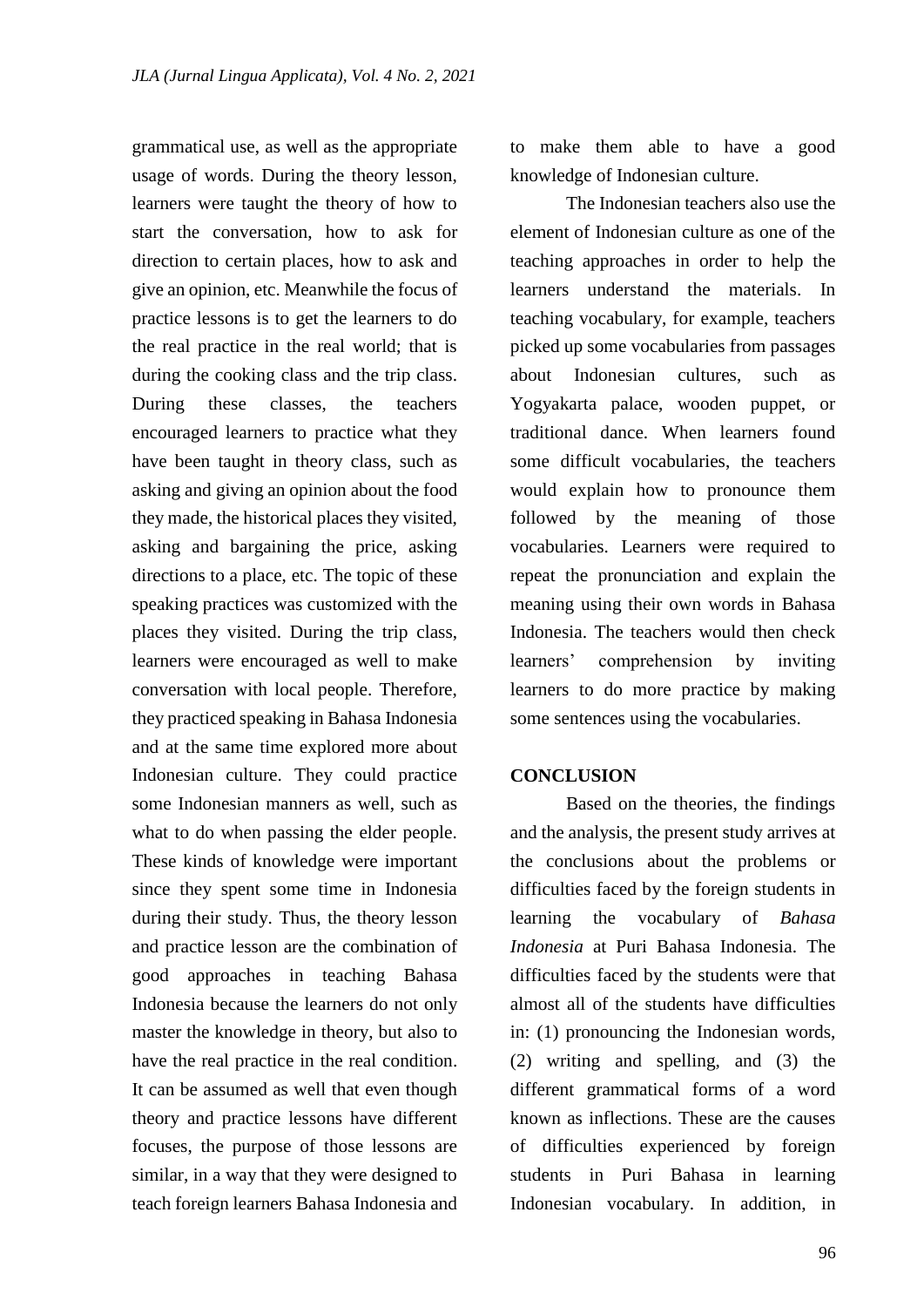grammatical use, as well as the appropriate usage of words. During the theory lesson, learners were taught the theory of how to start the conversation, how to ask for direction to certain places, how to ask and give an opinion, etc. Meanwhile the focus of practice lessons is to get the learners to do the real practice in the real world; that is during the cooking class and the trip class. During these classes, the teachers encouraged learners to practice what they have been taught in theory class, such as asking and giving an opinion about the food they made, the historical places they visited, asking and bargaining the price, asking directions to a place, etc. The topic of these speaking practices was customized with the places they visited. During the trip class, learners were encouraged as well to make conversation with local people. Therefore, they practiced speaking in Bahasa Indonesia and at the same time explored more about Indonesian culture. They could practice some Indonesian manners as well, such as what to do when passing the elder people. These kinds of knowledge were important since they spent some time in Indonesia during their study. Thus, the theory lesson and practice lesson are the combination of good approaches in teaching Bahasa Indonesia because the learners do not only master the knowledge in theory, but also to have the real practice in the real condition. It can be assumed as well that even though theory and practice lessons have different focuses, the purpose of those lessons are similar, in a way that they were designed to teach foreign learners Bahasa Indonesia and to make them able to have a good knowledge of Indonesian culture.

The Indonesian teachers also use the element of Indonesian culture as one of the teaching approaches in order to help the learners understand the materials. In teaching vocabulary, for example, teachers picked up some vocabularies from passages about Indonesian cultures, such as Yogyakarta palace, wooden puppet, or traditional dance. When learners found some difficult vocabularies, the teachers would explain how to pronounce them followed by the meaning of those vocabularies. Learners were required to repeat the pronunciation and explain the meaning using their own words in Bahasa Indonesia. The teachers would then check learners' comprehension by inviting learners to do more practice by making some sentences using the vocabularies.

## **CONCLUSION**

Based on the theories, the findings and the analysis, the present study arrives at the conclusions about the problems or difficulties faced by the foreign students in learning the vocabulary of *Bahasa Indonesia* at Puri Bahasa Indonesia. The difficulties faced by the students were that almost all of the students have difficulties in: (1) pronouncing the Indonesian words, (2) writing and spelling, and (3) the different grammatical forms of a word known as inflections. These are the causes of difficulties experienced by foreign students in Puri Bahasa in learning Indonesian vocabulary. In addition, in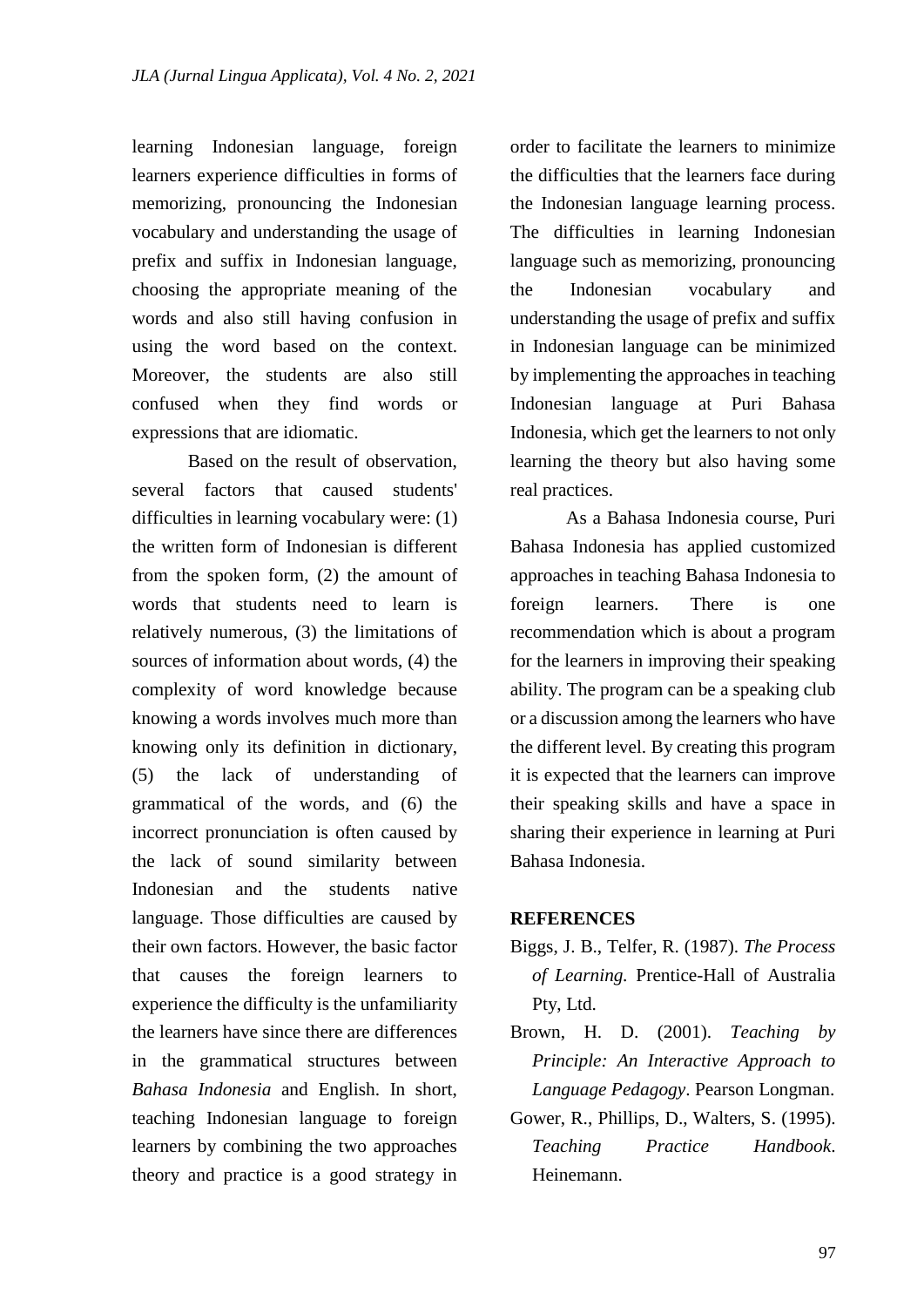learning Indonesian language, foreign learners experience difficulties in forms of memorizing, pronouncing the Indonesian vocabulary and understanding the usage of prefix and suffix in Indonesian language, choosing the appropriate meaning of the words and also still having confusion in using the word based on the context. Moreover, the students are also still confused when they find words or expressions that are idiomatic.

Based on the result of observation, several factors that caused students' difficulties in learning vocabulary were: (1) the written form of Indonesian is different from the spoken form, (2) the amount of words that students need to learn is relatively numerous, (3) the limitations of sources of information about words, (4) the complexity of word knowledge because knowing a words involves much more than knowing only its definition in dictionary, (5) the lack of understanding of grammatical of the words, and (6) the incorrect pronunciation is often caused by the lack of sound similarity between Indonesian and the students native language. Those difficulties are caused by their own factors. However, the basic factor that causes the foreign learners to experience the difficulty is the unfamiliarity the learners have since there are differences in the grammatical structures between *Bahasa Indonesia* and English. In short, teaching Indonesian language to foreign learners by combining the two approaches theory and practice is a good strategy in

order to facilitate the learners to minimize the difficulties that the learners face during the Indonesian language learning process. The difficulties in learning Indonesian language such as memorizing, pronouncing the Indonesian vocabulary and understanding the usage of prefix and suffix in Indonesian language can be minimized by implementing the approaches in teaching Indonesian language at Puri Bahasa Indonesia, which get the learners to not only learning the theory but also having some real practices.

As a Bahasa Indonesia course, Puri Bahasa Indonesia has applied customized approaches in teaching Bahasa Indonesia to foreign learners. There is one recommendation which is about a program for the learners in improving their speaking ability. The program can be a speaking club or a discussion among the learners who have the different level. By creating this program it is expected that the learners can improve their speaking skills and have a space in sharing their experience in learning at Puri Bahasa Indonesia.

### **REFERENCES**

- Biggs, J. B., Telfer, R. (1987). *The Process of Learning.* Prentice-Hall of Australia Pty, Ltd.
- Brown, H. D. (2001). *Teaching by Principle: An Interactive Approach to Language Pedagogy*. Pearson Longman.
- Gower, R., Phillips, D., Walters, S. (1995). *Teaching Practice Handbook*. Heinemann.